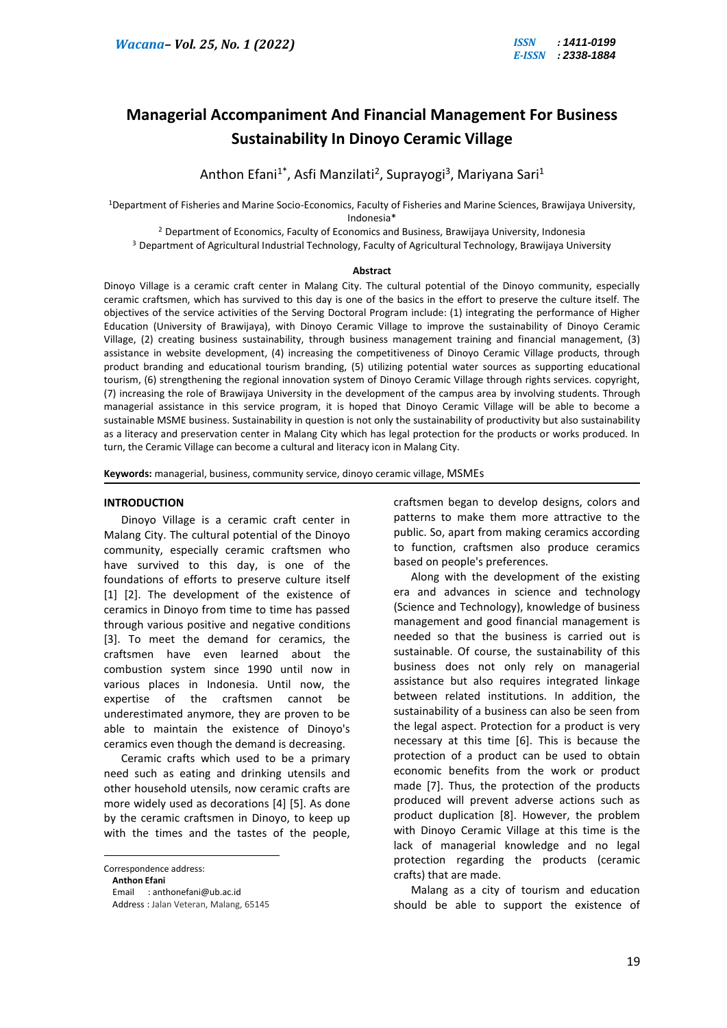# **Managerial Accompaniment And Financial Management For Business Sustainability In Dinoyo Ceramic Village**

Anthon Efani<sup>1\*</sup>, Asfi Manzilati<sup>2</sup>, Suprayogi<sup>3</sup>, Mariyana Sari<sup>1</sup>

<sup>1</sup>Department of Fisheries and Marine Socio-Economics, Faculty of Fisheries and Marine Sciences, Brawijaya University, Indonesia\*

<sup>2</sup> Department of Economics, Faculty of Economics and Business, Brawijaya University, Indonesia

<sup>3</sup> Department of Agricultural Industrial Technology, Faculty of Agricultural Technology, Brawijaya University

#### **Abstract**

Dinoyo Village is a ceramic craft center in Malang City. The cultural potential of the Dinoyo community, especially ceramic craftsmen, which has survived to this day is one of the basics in the effort to preserve the culture itself. The objectives of the service activities of the Serving Doctoral Program include: (1) integrating the performance of Higher Education (University of Brawijaya), with Dinoyo Ceramic Village to improve the sustainability of Dinoyo Ceramic Village, (2) creating business sustainability, through business management training and financial management, (3) assistance in website development, (4) increasing the competitiveness of Dinoyo Ceramic Village products, through product branding and educational tourism branding, (5) utilizing potential water sources as supporting educational tourism, (6) strengthening the regional innovation system of Dinoyo Ceramic Village through rights services. copyright, (7) increasing the role of Brawijaya University in the development of the campus area by involving students. Through managerial assistance in this service program, it is hoped that Dinoyo Ceramic Village will be able to become a sustainable MSME business. Sustainability in question is not only the sustainability of productivity but also sustainability as a literacy and preservation center in Malang City which has legal protection for the products or works produced. In turn, the Ceramic Village can become a cultural and literacy icon in Malang City.

**Keywords:** managerial, business, community service, dinoyo ceramic village, MSMEs

#### **INTRODUCTION**

Dinoyo Village is a ceramic craft center in Malang City. The cultural potential of the Dinoyo community, especially ceramic craftsmen who have survived to this day, is one of the foundations of efforts to preserve culture itself [1] [2]. The development of the existence of ceramics in Dinoyo from time to time has passed through various positive and negative conditions [3]. To meet the demand for ceramics, the craftsmen have even learned about the combustion system since 1990 until now in various places in Indonesia. Until now, the expertise of the craftsmen cannot be underestimated anymore, they are proven to be able to maintain the existence of Dinoyo's ceramics even though the demand is decreasing.

Ceramic crafts which used to be a primary need such as eating and drinking utensils and other household utensils, now ceramic crafts are more widely used as decorations [4] [5]. As done by the ceramic craftsmen in Dinoyo, to keep up with the times and the tastes of the people,

**.** 

craftsmen began to develop designs, colors and patterns to make them more attractive to the public. So, apart from making ceramics according to function, craftsmen also produce ceramics based on people's preferences.

Along with the development of the existing era and advances in science and technology (Science and Technology), knowledge of business management and good financial management is needed so that the business is carried out is sustainable. Of course, the sustainability of this business does not only rely on managerial assistance but also requires integrated linkage between related institutions. In addition, the sustainability of a business can also be seen from the legal aspect. Protection for a product is very necessary at this time [6]. This is because the protection of a product can be used to obtain economic benefits from the work or product made [7]. Thus, the protection of the products produced will prevent adverse actions such as product duplication [8]. However, the problem with Dinoyo Ceramic Village at this time is the lack of managerial knowledge and no legal protection regarding the products (ceramic crafts) that are made.

Malang as a city of tourism and education should be able to support the existence of

Correspondence address:

**Anthon Efani**

Email : anthonefani@ub.ac.id Address : Jalan Veteran, Malang, 65145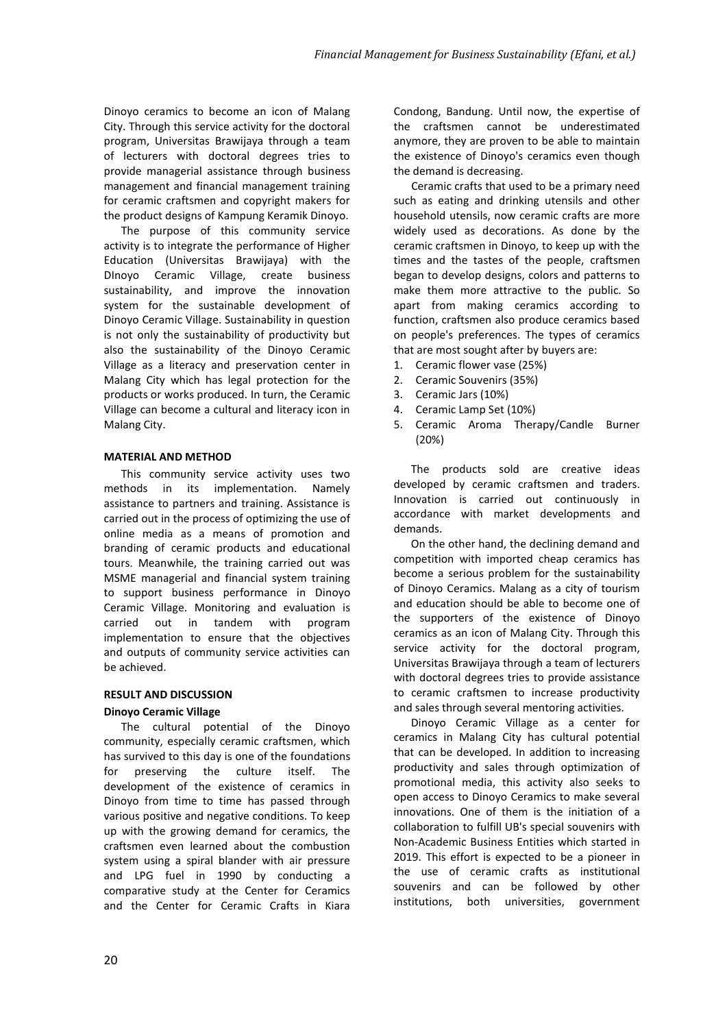Dinoyo ceramics to become an icon of Malang City. Through this service activity for the doctoral program, Universitas Brawijaya through a team of lecturers with doctoral degrees tries to provide managerial assistance through business management and financial management training for ceramic craftsmen and copyright makers for the product designs of Kampung Keramik Dinoyo.

The purpose of this community service activity is to integrate the performance of Higher Education (Universitas Brawijaya) with the DInoyo Ceramic Village, create business sustainability, and improve the innovation system for the sustainable development of Dinoyo Ceramic Village. Sustainability in question is not only the sustainability of productivity but also the sustainability of the Dinoyo Ceramic Village as a literacy and preservation center in Malang City which has legal protection for the products or works produced. In turn, the Ceramic Village can become a cultural and literacy icon in Malang City.

#### **MATERIAL AND METHOD**

This community service activity uses two methods in its implementation. Namely assistance to partners and training. Assistance is carried out in the process of optimizing the use of online media as a means of promotion and branding of ceramic products and educational tours. Meanwhile, the training carried out was MSME managerial and financial system training to support business performance in Dinoyo Ceramic Village. Monitoring and evaluation is carried out in tandem with program implementation to ensure that the objectives and outputs of community service activities can be achieved.

## **RESULT AND DISCUSSION**

#### **Dinoyo Ceramic Village**

The cultural potential of the Dinoyo community, especially ceramic craftsmen, which has survived to this day is one of the foundations for preserving the culture itself. The development of the existence of ceramics in Dinoyo from time to time has passed through various positive and negative conditions. To keep up with the growing demand for ceramics, the craftsmen even learned about the combustion system using a spiral blander with air pressure and LPG fuel in 1990 by conducting a comparative study at the Center for Ceramics and the Center for Ceramic Crafts in Kiara

Condong, Bandung. Until now, the expertise of the craftsmen cannot be underestimated anymore, they are proven to be able to maintain the existence of Dinoyo's ceramics even though the demand is decreasing.

Ceramic crafts that used to be a primary need such as eating and drinking utensils and other household utensils, now ceramic crafts are more widely used as decorations. As done by the ceramic craftsmen in Dinoyo, to keep up with the times and the tastes of the people, craftsmen began to develop designs, colors and patterns to make them more attractive to the public. So apart from making ceramics according to function, craftsmen also produce ceramics based on people's preferences. The types of ceramics that are most sought after by buyers are:

- 1. Ceramic flower vase (25%)
- 2. Ceramic Souvenirs (35%)
- 3. Ceramic Jars (10%)
- 4. Ceramic Lamp Set (10%)
- 5. Ceramic Aroma Therapy/Candle Burner (20%)

The products sold are creative ideas developed by ceramic craftsmen and traders. Innovation is carried out continuously in accordance with market developments and demands.

On the other hand, the declining demand and competition with imported cheap ceramics has become a serious problem for the sustainability of Dinoyo Ceramics. Malang as a city of tourism and education should be able to become one of the supporters of the existence of Dinoyo ceramics as an icon of Malang City. Through this service activity for the doctoral program, Universitas Brawijaya through a team of lecturers with doctoral degrees tries to provide assistance to ceramic craftsmen to increase productivity and sales through several mentoring activities.

Dinoyo Ceramic Village as a center for ceramics in Malang City has cultural potential that can be developed. In addition to increasing productivity and sales through optimization of promotional media, this activity also seeks to open access to Dinoyo Ceramics to make several innovations. One of them is the initiation of a collaboration to fulfill UB's special souvenirs with Non-Academic Business Entities which started in 2019. This effort is expected to be a pioneer in the use of ceramic crafts as institutional souvenirs and can be followed by other institutions, both universities, government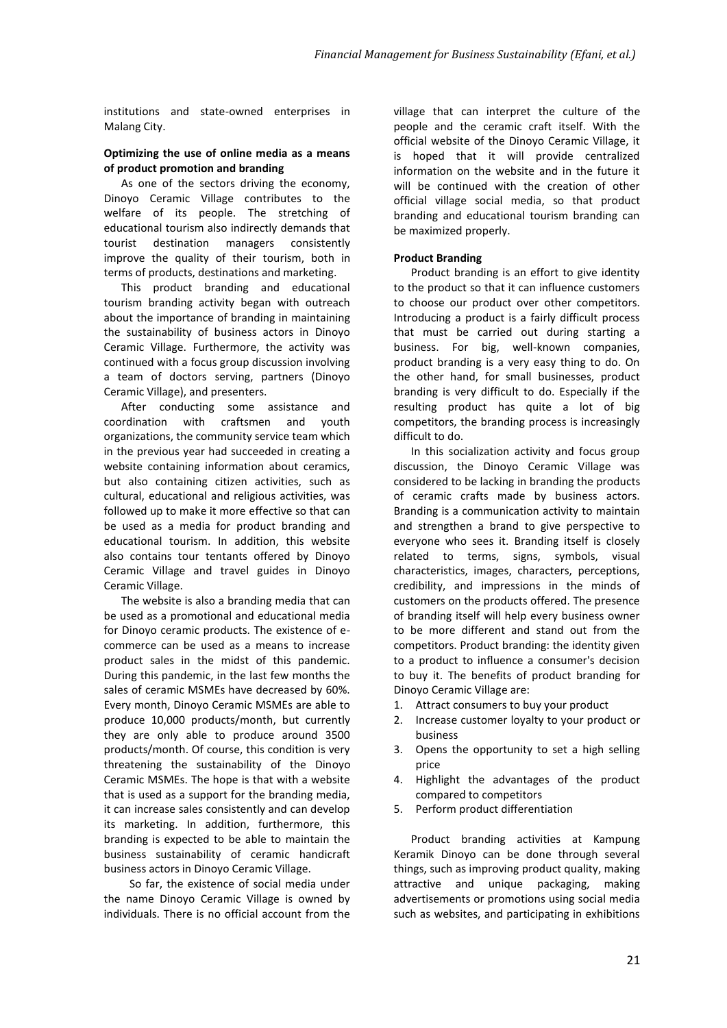institutions and state-owned enterprises in Malang City.

#### **Optimizing the use of online media as a means of product promotion and branding**

As one of the sectors driving the economy, Dinoyo Ceramic Village contributes to the welfare of its people. The stretching of educational tourism also indirectly demands that tourist destination managers consistently improve the quality of their tourism, both in terms of products, destinations and marketing.

This product branding and educational tourism branding activity began with outreach about the importance of branding in maintaining the sustainability of business actors in Dinoyo Ceramic Village. Furthermore, the activity was continued with a focus group discussion involving a team of doctors serving, partners (Dinoyo Ceramic Village), and presenters.

After conducting some assistance and coordination with craftsmen and youth organizations, the community service team which in the previous year had succeeded in creating a website containing information about ceramics, but also containing citizen activities, such as cultural, educational and religious activities, was followed up to make it more effective so that can be used as a media for product branding and educational tourism. In addition, this website also contains tour tentants offered by Dinoyo Ceramic Village and travel guides in Dinoyo Ceramic Village.

The website is also a branding media that can be used as a promotional and educational media for Dinoyo ceramic products. The existence of ecommerce can be used as a means to increase product sales in the midst of this pandemic. During this pandemic, in the last few months the sales of ceramic MSMEs have decreased by 60%. Every month, Dinoyo Ceramic MSMEs are able to produce 10,000 products/month, but currently they are only able to produce around 3500 products/month. Of course, this condition is very threatening the sustainability of the Dinoyo Ceramic MSMEs. The hope is that with a website that is used as a support for the branding media, it can increase sales consistently and can develop its marketing. In addition, furthermore, this branding is expected to be able to maintain the business sustainability of ceramic handicraft business actors in Dinoyo Ceramic Village.

 So far, the existence of social media under the name Dinoyo Ceramic Village is owned by individuals. There is no official account from the village that can interpret the culture of the people and the ceramic craft itself. With the official website of the Dinoyo Ceramic Village, it is hoped that it will provide centralized information on the website and in the future it will be continued with the creation of other official village social media, so that product branding and educational tourism branding can be maximized properly.

### **Product Branding**

Product branding is an effort to give identity to the product so that it can influence customers to choose our product over other competitors. Introducing a product is a fairly difficult process that must be carried out during starting a business. For big, well-known companies, product branding is a very easy thing to do. On the other hand, for small businesses, product branding is very difficult to do. Especially if the resulting product has quite a lot of big competitors, the branding process is increasingly difficult to do.

In this socialization activity and focus group discussion, the Dinoyo Ceramic Village was considered to be lacking in branding the products of ceramic crafts made by business actors. Branding is a communication activity to maintain and strengthen a brand to give perspective to everyone who sees it. Branding itself is closely related to terms, signs, symbols, visual characteristics, images, characters, perceptions, credibility, and impressions in the minds of customers on the products offered. The presence of branding itself will help every business owner to be more different and stand out from the competitors. Product branding: the identity given to a product to influence a consumer's decision to buy it. The benefits of product branding for Dinoyo Ceramic Village are:

- 1. Attract consumers to buy your product
- 2. Increase customer loyalty to your product or business
- 3. Opens the opportunity to set a high selling price
- 4. Highlight the advantages of the product compared to competitors
- 5. Perform product differentiation

Product branding activities at Kampung Keramik Dinoyo can be done through several things, such as improving product quality, making attractive and unique packaging, making advertisements or promotions using social media such as websites, and participating in exhibitions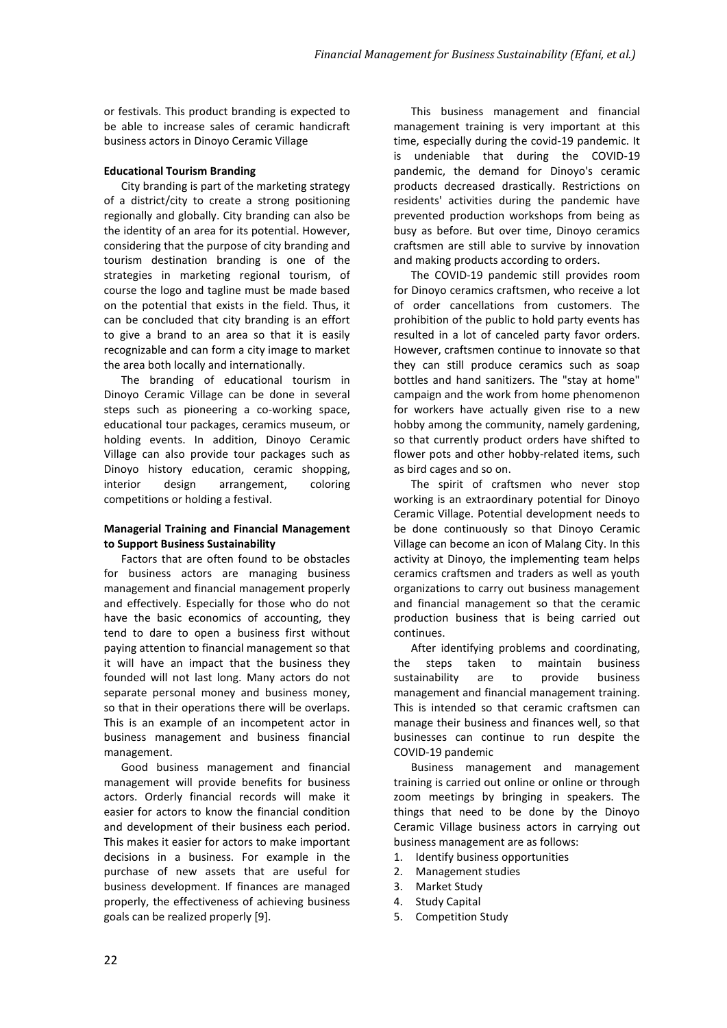or festivals. This product branding is expected to be able to increase sales of ceramic handicraft business actors in Dinoyo Ceramic Village

### **Educational Tourism Branding**

City branding is part of the marketing strategy of a district/city to create a strong positioning regionally and globally. City branding can also be the identity of an area for its potential. However, considering that the purpose of city branding and tourism destination branding is one of the strategies in marketing regional tourism, of course the logo and tagline must be made based on the potential that exists in the field. Thus, it can be concluded that city branding is an effort to give a brand to an area so that it is easily recognizable and can form a city image to market the area both locally and internationally.

The branding of educational tourism in Dinoyo Ceramic Village can be done in several steps such as pioneering a co-working space, educational tour packages, ceramics museum, or holding events. In addition, Dinoyo Ceramic Village can also provide tour packages such as Dinoyo history education, ceramic shopping, interior design arrangement, coloring competitions or holding a festival.

#### **Managerial Training and Financial Management to Support Business Sustainability**

Factors that are often found to be obstacles for business actors are managing business management and financial management properly and effectively. Especially for those who do not have the basic economics of accounting, they tend to dare to open a business first without paying attention to financial management so that it will have an impact that the business they founded will not last long. Many actors do not separate personal money and business money, so that in their operations there will be overlaps. This is an example of an incompetent actor in business management and business financial management.

Good business management and financial management will provide benefits for business actors. Orderly financial records will make it easier for actors to know the financial condition and development of their business each period. This makes it easier for actors to make important decisions in a business. For example in the purchase of new assets that are useful for business development. If finances are managed properly, the effectiveness of achieving business goals can be realized properly [9].

This business management and financial management training is very important at this time, especially during the covid-19 pandemic. It is undeniable that during the COVID-19 pandemic, the demand for Dinoyo's ceramic products decreased drastically. Restrictions on residents' activities during the pandemic have prevented production workshops from being as busy as before. But over time, Dinoyo ceramics craftsmen are still able to survive by innovation and making products according to orders.

The COVID-19 pandemic still provides room for Dinoyo ceramics craftsmen, who receive a lot of order cancellations from customers. The prohibition of the public to hold party events has resulted in a lot of canceled party favor orders. However, craftsmen continue to innovate so that they can still produce ceramics such as soap bottles and hand sanitizers. The "stay at home" campaign and the work from home phenomenon for workers have actually given rise to a new hobby among the community, namely gardening, so that currently product orders have shifted to flower pots and other hobby-related items, such as bird cages and so on.

The spirit of craftsmen who never stop working is an extraordinary potential for Dinoyo Ceramic Village. Potential development needs to be done continuously so that Dinoyo Ceramic Village can become an icon of Malang City. In this activity at Dinoyo, the implementing team helps ceramics craftsmen and traders as well as youth organizations to carry out business management and financial management so that the ceramic production business that is being carried out continues.

After identifying problems and coordinating, the steps taken to maintain business sustainability are to provide business management and financial management training. This is intended so that ceramic craftsmen can manage their business and finances well, so that businesses can continue to run despite the COVID-19 pandemic

Business management and management training is carried out online or online or through zoom meetings by bringing in speakers. The things that need to be done by the Dinoyo Ceramic Village business actors in carrying out business management are as follows:

- 1. Identify business opportunities
- 2. Management studies
- 3. Market Study
- 4. Study Capital
- 5. Competition Study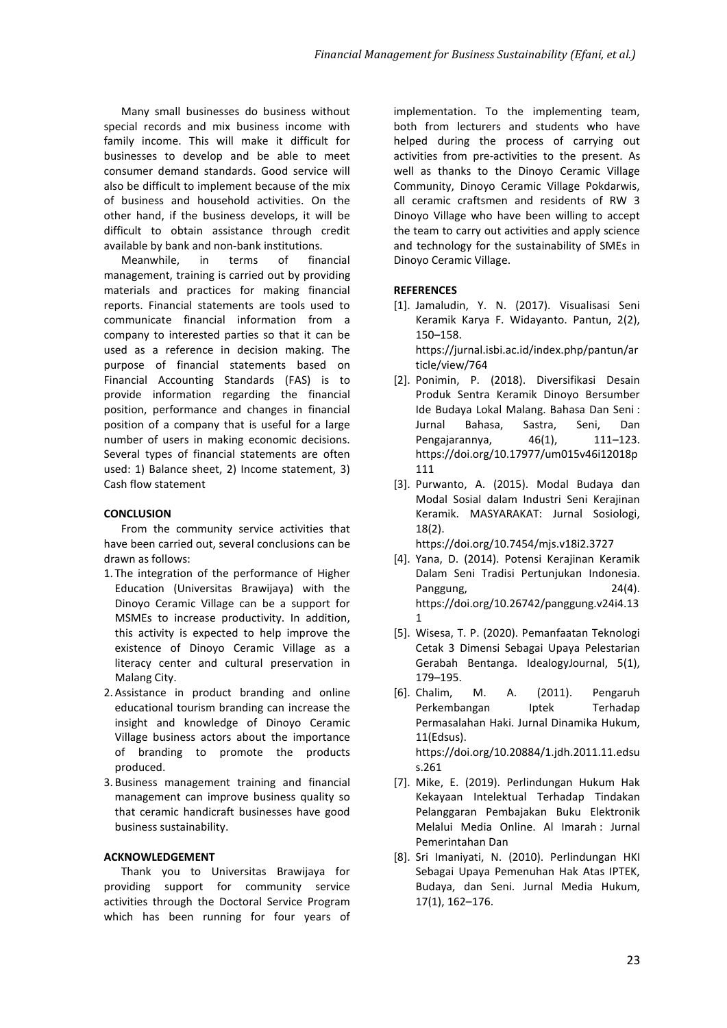Many small businesses do business without special records and mix business income with family income. This will make it difficult for businesses to develop and be able to meet consumer demand standards. Good service will also be difficult to implement because of the mix of business and household activities. On the other hand, if the business develops, it will be difficult to obtain assistance through credit available by bank and non-bank institutions.

Meanwhile, in terms of financial management, training is carried out by providing materials and practices for making financial reports. Financial statements are tools used to communicate financial information from a company to interested parties so that it can be used as a reference in decision making. The purpose of financial statements based on Financial Accounting Standards (FAS) is to provide information regarding the financial position, performance and changes in financial position of a company that is useful for a large number of users in making economic decisions. Several types of financial statements are often used: 1) Balance sheet, 2) Income statement, 3) Cash flow statement

### **CONCLUSION**

From the community service activities that have been carried out, several conclusions can be drawn as follows:

- 1. The integration of the performance of Higher Education (Universitas Brawijaya) with the Dinoyo Ceramic Village can be a support for MSMEs to increase productivity. In addition, this activity is expected to help improve the existence of Dinoyo Ceramic Village as a literacy center and cultural preservation in Malang City.
- 2. Assistance in product branding and online educational tourism branding can increase the insight and knowledge of Dinoyo Ceramic Village business actors about the importance of branding to promote the products produced.
- 3. Business management training and financial management can improve business quality so that ceramic handicraft businesses have good business sustainability.

#### **ACKNOWLEDGEMENT**

Thank you to Universitas Brawijaya for providing support for community service activities through the Doctoral Service Program which has been running for four years of

implementation. To the implementing team, both from lecturers and students who have helped during the process of carrying out activities from pre-activities to the present. As well as thanks to the Dinoyo Ceramic Village Community, Dinoyo Ceramic Village Pokdarwis, all ceramic craftsmen and residents of RW 3 Dinoyo Village who have been willing to accept the team to carry out activities and apply science and technology for the sustainability of SMEs in Dinoyo Ceramic Village.

#### **REFERENCES**

- [1]. Jamaludin, Y. N. (2017). Visualisasi Seni Keramik Karya F. Widayanto. Pantun, 2(2), 150–158. https://jurnal.isbi.ac.id/index.php/pantun/ar ticle/view/764
- [2]. Ponimin, P. (2018). Diversifikasi Desain Produk Sentra Keramik Dinoyo Bersumber Ide Budaya Lokal Malang. Bahasa Dan Seni : Jurnal Bahasa, Sastra, Seni, Dan Pengajarannya, 46(1), 111-123. https://doi.org/10.17977/um015v46i12018p 111
- [3]. Purwanto, A. (2015). Modal Budaya dan Modal Sosial dalam Industri Seni Kerajinan Keramik. MASYARAKAT: Jurnal Sosiologi, 18(2).

https://doi.org/10.7454/mjs.v18i2.3727

- [4]. Yana, D. (2014). Potensi Kerajinan Keramik Dalam Seni Tradisi Pertunjukan Indonesia. Panggung, 24(4). https://doi.org/10.26742/panggung.v24i4.13 1
- [5]. Wisesa, T. P. (2020). Pemanfaatan Teknologi Cetak 3 Dimensi Sebagai Upaya Pelestarian Gerabah Bentanga. IdealogyJournal, 5(1), 179–195.
- [6]. Chalim, M. A. (2011). Pengaruh Perkembangan Iptek Terhadap Permasalahan Haki. Jurnal Dinamika Hukum, 11(Edsus). https://doi.org/10.20884/1.jdh.2011.11.edsu s.261
- [7]. Mike, E. (2019). Perlindungan Hukum Hak Kekayaan Intelektual Terhadap Tindakan Pelanggaran Pembajakan Buku Elektronik Melalui Media Online. Al Imarah : Jurnal Pemerintahan Dan
- [8]. Sri Imaniyati, N. (2010). Perlindungan HKI Sebagai Upaya Pemenuhan Hak Atas IPTEK, Budaya, dan Seni. Jurnal Media Hukum, 17(1), 162–176.